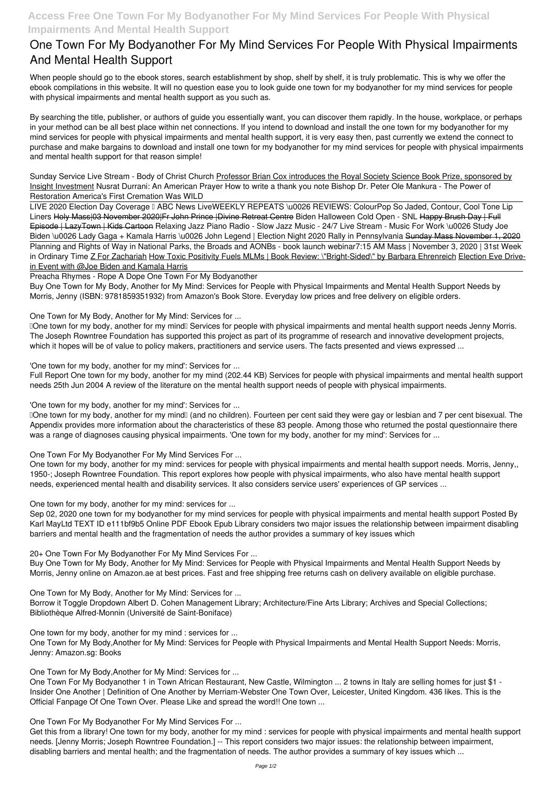## **One Town For My Bodyanother For My Mind Services For People With Physical Impairments And Mental Health Support**

When people should go to the ebook stores, search establishment by shop, shelf by shelf, it is truly problematic. This is why we offer the ebook compilations in this website. It will no question ease you to look guide **one town for my bodyanother for my mind services for people with physical impairments and mental health support** as you such as.

Sunday Service Live Stream - Body of Christ Church Professor Brian Cox introduces the Royal Society Science Book Prize, sponsored by Insight Investment *Nusrat Durrani: An American Prayer How to write a thank you note Bishop Dr. Peter Ole Mankura - The Power of Restoration* **America's First Cremation Was WILD**

By searching the title, publisher, or authors of guide you essentially want, you can discover them rapidly. In the house, workplace, or perhaps in your method can be all best place within net connections. If you intend to download and install the one town for my bodyanother for my mind services for people with physical impairments and mental health support, it is very easy then, past currently we extend the connect to purchase and make bargains to download and install one town for my bodyanother for my mind services for people with physical impairments and mental health support for that reason simple!

LIVE 2020 Election Day Coverage I ABC News LiveWEEKLY REPEATS \u0026 REVIEWS: ColourPop So Jaded, Contour, Cool Tone Lip *Liners* Holy Mass|03 November 2020|Fr John Prince |Divine Retreat Centre *Biden Halloween Cold Open - SNL* Happy Brush Day | Full Episode | LazyTown | Kids Cartoon **Relaxing Jazz Piano Radio - Slow Jazz Music - 24/7 Live Stream - Music For Work \u0026 Study Joe** Biden \u0026 Lady Gaga + Kamala Harris \u0026 John Legend | Election Night 2020 Rally in Pennsylvania Sunday Mass November 1, 2020 Planning and Rights of Way in National Parks, the Broads and AONBs - book launch webinar*7:15 AM Mass | November 3, 2020 | 31st Week* in Ordinary Time Z For Zachariah How Toxic Positivity Fuels MLMs | Book Review: \"Bright-Sided\" by Barbara Ehrenreich Election Eve Drivein Event with @Joe Biden and Kamala Harris

Preacha Rhymes - Rope A Dope One Town For My Bodyanother

Buy One Town for My Body, Another for My Mind: Services for People with Physical Impairments and Mental Health Support Needs by Morris, Jenny (ISBN: 9781859351932) from Amazon's Book Store. Everyday low prices and free delivery on eligible orders.

One Town for My Body, Another for My Mind: Services for ...

Done town for my body, another for my mind<sup>[</sup>] Services for people with physical impairments and mental health support needs Jenny Morris. The Joseph Rowntree Foundation has supported this project as part of its programme of research and innovative development projects, which it hopes will be of value to policy makers, practitioners and service users. The facts presented and views expressed ...

'One town for my body, another for my mind': Services for ...

Full Report One town for my body, another for my mind (202.44 KB) Services for people with physical impairments and mental health support needs 25th Jun 2004 A review of the literature on the mental health support needs of people with physical impairments.

'One town for my body, another for my mind': Services for ...

'One town for my body, another for my mind' (and no children). Fourteen per cent said they were gay or lesbian and 7 per cent bisexual. The Appendix provides more information about the characteristics of these 83 people. Among those who returned the postal questionnaire there was a range of diagnoses causing physical impairments. 'One town for my body, another for my mind': Services for ...

One Town For My Bodyanother For My Mind Services For ...

One town for my body, another for my mind: services for people with physical impairments and mental health support needs. Morris, Jenny,, 1950-; Joseph Rowntree Foundation. This report explores how people with physical impairments, who also have mental health support needs, experienced mental health and disability services. It also considers service users' experiences of GP services ...

One town for my body, another for my mind: services for ...

Sep 02, 2020 one town for my bodyanother for my mind services for people with physical impairments and mental health support Posted By Karl MayLtd TEXT ID e111bf9b5 Online PDF Ebook Epub Library considers two major issues the relationship between impairment disabling barriers and mental health and the fragmentation of needs the author provides a summary of key issues which

20+ One Town For My Bodyanother For My Mind Services For ...

Buy One Town for My Body, Another for My Mind: Services for People with Physical Impairments and Mental Health Support Needs by Morris, Jenny online on Amazon.ae at best prices. Fast and free shipping free returns cash on delivery available on eligible purchase.

One Town for My Body, Another for My Mind: Services for ...

Borrow it Toggle Dropdown Albert D. Cohen Management Library; Architecture/Fine Arts Library; Archives and Special Collections; Bibliothèque Alfred-Monnin (Université de Saint-Boniface)

One town for my body, another for my mind : services for ...

One Town for My Body,Another for My Mind: Services for People with Physical Impairments and Mental Health Support Needs: Morris, Jenny: Amazon.sg: Books

One Town for My Body,Another for My Mind: Services for ...

One Town For My Bodyanother 1 in Town African Restaurant, New Castle, Wilmington ... 2 towns in Italy are selling homes for just \$1 - Insider One Another | Definition of One Another by Merriam-Webster One Town Over, Leicester, United Kingdom. 436 likes. This is the Official Fanpage Of One Town Over. Please Like and spread the word!! One town ...

One Town For My Bodyanother For My Mind Services For ...

Get this from a library! One town for my body, another for my mind : services for people with physical impairments and mental health support needs. [Jenny Morris; Joseph Rowntree Foundation.] -- This report considers two major issues: the relationship between impairment, disabling barriers and mental health; and the fragmentation of needs. The author provides a summary of key issues which ...